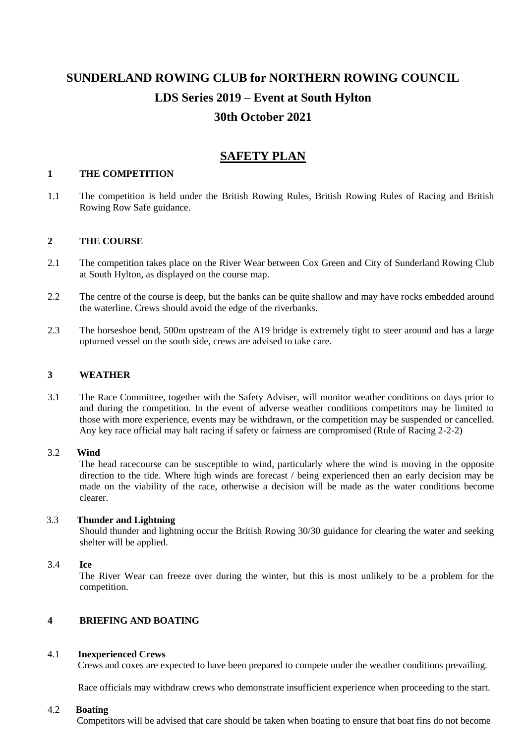# **SUNDERLAND ROWING CLUB for NORTHERN ROWING COUNCIL LDS Series 2019 – Event at South Hylton 30th October 2021**

## **SAFETY PLAN**

#### **1 THE COMPETITION**

1.1 The competition is held under the British Rowing Rules, British Rowing Rules of Racing and British Rowing Row Safe guidance.

#### **2 THE COURSE**

- 2.1 The competition takes place on the River Wear between Cox Green and City of Sunderland Rowing Club at South Hylton, as displayed on the course map.
- 2.2 The centre of the course is deep, but the banks can be quite shallow and may have rocks embedded around the waterline. Crews should avoid the edge of the riverbanks.
- 2.3 The horseshoe bend, 500m upstream of the A19 bridge is extremely tight to steer around and has a large upturned vessel on the south side, crews are advised to take care.

#### **3 WEATHER**

3.1 The Race Committee, together with the Safety Adviser, will monitor weather conditions on days prior to and during the competition. In the event of adverse weather conditions competitors may be limited to those with more experience, events may be withdrawn, or the competition may be suspended or cancelled. Any key race official may halt racing if safety or fairness are compromised (Rule of Racing 2-2-2)

#### 3.2 **Wind**

The head racecourse can be susceptible to wind, particularly where the wind is moving in the opposite direction to the tide. Where high winds are forecast / being experienced then an early decision may be made on the viability of the race, otherwise a decision will be made as the water conditions become clearer.

## 3.3 **Thunder and Lightning**

Should thunder and lightning occur the British Rowing 30/30 guidance for clearing the water and seeking shelter will be applied.

#### 3.4 **Ice**

The River Wear can freeze over during the winter, but this is most unlikely to be a problem for the competition.

## **4 BRIEFING AND BOATING**

### 4.1 **Inexperienced Crews**

Crews and coxes are expected to have been prepared to compete under the weather conditions prevailing.

Race officials may withdraw crews who demonstrate insufficient experience when proceeding to the start.

#### 4.2 **Boating**

Competitors will be advised that care should be taken when boating to ensure that boat fins do not become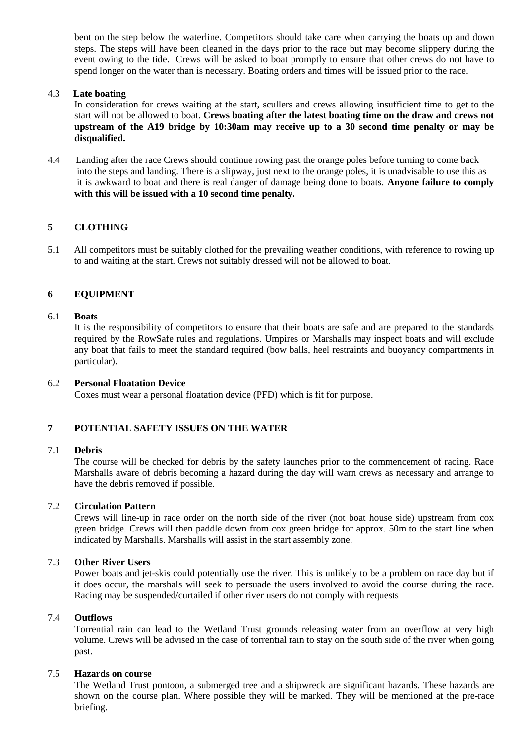bent on the step below the waterline. Competitors should take care when carrying the boats up and down steps. The steps will have been cleaned in the days prior to the race but may become slippery during the event owing to the tide. Crews will be asked to boat promptly to ensure that other crews do not have to spend longer on the water than is necessary. Boating orders and times will be issued prior to the race.

## 4.3 **Late boating**

In consideration for crews waiting at the start, scullers and crews allowing insufficient time to get to the start will not be allowed to boat. **Crews boating after the latest boating time on the draw and crews not upstream of the A19 bridge by 10:30am may receive up to a 30 second time penalty or may be disqualified.**

4.4 Landing after the race Crews should continue rowing past the orange poles before turning to come back into the steps and landing. There is a slipway, just next to the orange poles, it is unadvisable to use this as it is awkward to boat and there is real danger of damage being done to boats. **Anyone failure to comply with this will be issued with a 10 second time penalty.**

## **5 CLOTHING**

5.1 All competitors must be suitably clothed for the prevailing weather conditions, with reference to rowing up to and waiting at the start. Crews not suitably dressed will not be allowed to boat.

## **6 EQUIPMENT**

#### 6.1 **Boats**

It is the responsibility of competitors to ensure that their boats are safe and are prepared to the standards required by the RowSafe rules and regulations. Umpires or Marshalls may inspect boats and will exclude any boat that fails to meet the standard required (bow balls, heel restraints and buoyancy compartments in particular).

## 6.2 **Personal Floatation Device**

Coxes must wear a personal floatation device (PFD) which is fit for purpose.

## **7 POTENTIAL SAFETY ISSUES ON THE WATER**

#### 7.1 **Debris**

The course will be checked for debris by the safety launches prior to the commencement of racing. Race Marshalls aware of debris becoming a hazard during the day will warn crews as necessary and arrange to have the debris removed if possible.

## 7.2 **Circulation Pattern**

Crews will line-up in race order on the north side of the river (not boat house side) upstream from cox green bridge. Crews will then paddle down from cox green bridge for approx. 50m to the start line when indicated by Marshalls. Marshalls will assist in the start assembly zone.

## 7.3 **Other River Users**

Power boats and jet-skis could potentially use the river. This is unlikely to be a problem on race day but if it does occur, the marshals will seek to persuade the users involved to avoid the course during the race. Racing may be suspended/curtailed if other river users do not comply with requests

## 7.4 **Outflows**

Torrential rain can lead to the Wetland Trust grounds releasing water from an overflow at very high volume. Crews will be advised in the case of torrential rain to stay on the south side of the river when going past.

## 7.5 **Hazards on course**

The Wetland Trust pontoon, a submerged tree and a shipwreck are significant hazards. These hazards are shown on the course plan. Where possible they will be marked. They will be mentioned at the pre-race briefing.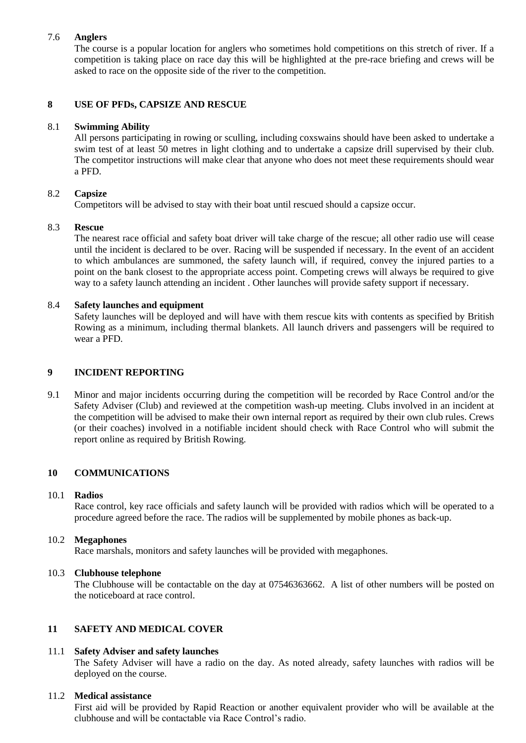## 7.6 **Anglers**

The course is a popular location for anglers who sometimes hold competitions on this stretch of river. If a competition is taking place on race day this will be highlighted at the pre-race briefing and crews will be asked to race on the opposite side of the river to the competition.

## **8 USE OF PFDs, CAPSIZE AND RESCUE**

## 8.1 **Swimming Ability**

All persons participating in rowing or sculling, including coxswains should have been asked to undertake a swim test of at least 50 metres in light clothing and to undertake a capsize drill supervised by their club. The competitor instructions will make clear that anyone who does not meet these requirements should wear a PFD.

## 8.2 **Capsize**

Competitors will be advised to stay with their boat until rescued should a capsize occur.

## 8.3 **Rescue**

The nearest race official and safety boat driver will take charge of the rescue; all other radio use will cease until the incident is declared to be over. Racing will be suspended if necessary. In the event of an accident to which ambulances are summoned, the safety launch will, if required, convey the injured parties to a point on the bank closest to the appropriate access point. Competing crews will always be required to give way to a safety launch attending an incident . Other launches will provide safety support if necessary.

## 8.4 **Safety launches and equipment**

Safety launches will be deployed and will have with them rescue kits with contents as specified by British Rowing as a minimum, including thermal blankets. All launch drivers and passengers will be required to wear a PFD.

## **9 INCIDENT REPORTING**

9.1 Minor and major incidents occurring during the competition will be recorded by Race Control and/or the Safety Adviser (Club) and reviewed at the competition wash-up meeting. Clubs involved in an incident at the competition will be advised to make their own internal report as required by their own club rules. Crews (or their coaches) involved in a notifiable incident should check with Race Control who will submit the report online as required by British Rowing.

## **10 COMMUNICATIONS**

## 10.1 **Radios**

Race control, key race officials and safety launch will be provided with radios which will be operated to a procedure agreed before the race. The radios will be supplemented by mobile phones as back-up.

## 10.2 **Megaphones**

Race marshals, monitors and safety launches will be provided with megaphones.

## 10.3 **Clubhouse telephone**

The Clubhouse will be contactable on the day at 07546363662. A list of other numbers will be posted on the noticeboard at race control.

## **11 SAFETY AND MEDICAL COVER**

## 11.1 **Safety Adviser and safety launches**

The Safety Adviser will have a radio on the day. As noted already, safety launches with radios will be deployed on the course.

## 11.2 **Medical assistance**

First aid will be provided by Rapid Reaction or another equivalent provider who will be available at the clubhouse and will be contactable via Race Control's radio.